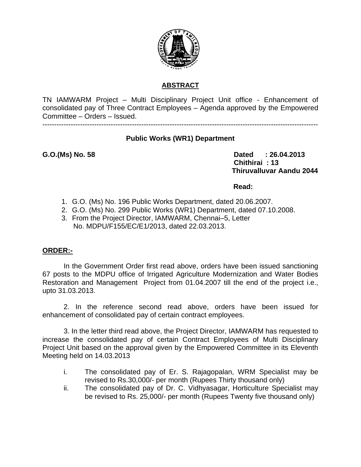

## **ABSTRACT**

TN IAMWARM Project – Multi Disciplinary Project Unit office - Enhancement of consolidated pay of Three Contract Employees – Agenda approved by the Empowered Committee – Orders – Issued.

---------------------------------------------------------------------------------------------------------------------

## **Public Works (WR1) Department**

G.O.(Ms) No. 58 **Dated** : 26.04.2013  **Chithirai : 13 Thiruvalluvar Aandu 2044** 

### **Read:**

- 1. G.O. (Ms) No. 196 Public Works Department, dated 20.06.2007.
- 2. G.O. (Ms) No. 299 Public Works (WR1) Department, dated 07.10.2008.
- 3. From the Project Director, IAMWARM, Chennai–5, Letter No. MDPU/F155/EC/E1/2013, dated 22.03.2013.

## **ORDER:-**

In the Government Order first read above, orders have been issued sanctioning 67 posts to the MDPU office of Irrigated Agriculture Modernization and Water Bodies Restoration and Management Project from 01.04.2007 till the end of the project i.e., upto 31.03.2013.

2. In the reference second read above, orders have been issued for enhancement of consolidated pay of certain contract employees.

3. In the letter third read above, the Project Director, IAMWARM has requested to increase the consolidated pay of certain Contract Employees of Multi Disciplinary Project Unit based on the approval given by the Empowered Committee in its Eleventh Meeting held on 14.03.2013

- i. The consolidated pay of Er. S. Rajagopalan, WRM Specialist may be revised to Rs.30,000/- per month (Rupees Thirty thousand only)
- ii. The consolidated pay of Dr. C. Vidhyasagar, Horticulture Specialist may be revised to Rs. 25,000/- per month (Rupees Twenty five thousand only)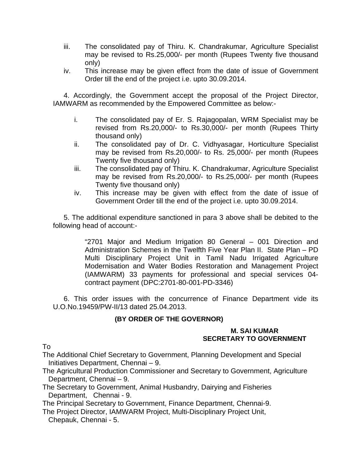- iii. The consolidated pay of Thiru. K. Chandrakumar, Agriculture Specialist may be revised to Rs.25,000/- per month (Rupees Twenty five thousand only)
- iv. This increase may be given effect from the date of issue of Government Order till the end of the project i.e. upto 30.09.2014.

4. Accordingly, the Government accept the proposal of the Project Director, IAMWARM as recommended by the Empowered Committee as below:-

- i. The consolidated pay of Er. S. Rajagopalan, WRM Specialist may be revised from Rs.20,000/- to Rs.30,000/- per month (Rupees Thirty thousand only)
- ii. The consolidated pay of Dr. C. Vidhyasagar, Horticulture Specialist may be revised from Rs.20,000/- to Rs. 25,000/- per month (Rupees Twenty five thousand only)
- iii. The consolidated pay of Thiru. K. Chandrakumar, Agriculture Specialist may be revised from Rs.20,000/- to Rs.25,000/- per month (Rupees Twenty five thousand only)
- iv. This increase may be given with effect from the date of issue of Government Order till the end of the project i.e. upto 30.09.2014.

5. The additional expenditure sanctioned in para 3 above shall be debited to the following head of account:-

> "2701 Major and Medium Irrigation 80 General – 001 Direction and Administration Schemes in the Twelfth Five Year Plan II. State Plan – PD Multi Disciplinary Project Unit in Tamil Nadu Irrigated Agriculture Modernisation and Water Bodies Restoration and Management Project (IAMWARM) 33 payments for professional and special services 04 contract payment (DPC:2701-80-001-PD-3346)

6. This order issues with the concurrence of Finance Department vide its U.O.No.19459/PW-II/13 dated 25.04.2013.

## **(BY ORDER OF THE GOVERNOR)**

#### **M. SAI KUMAR SECRETARY TO GOVERNMENT**

To

The Additional Chief Secretary to Government, Planning Development and Special Initiatives Department, Chennai – 9.

The Agricultural Production Commissioner and Secretary to Government, Agriculture Department, Chennai – 9.

The Secretary to Government, Animal Husbandry, Dairying and Fisheries Department, Chennai - 9.

The Principal Secretary to Government, Finance Department, Chennai-9.

The Project Director, IAMWARM Project, Multi-Disciplinary Project Unit, Chepauk, Chennai - 5.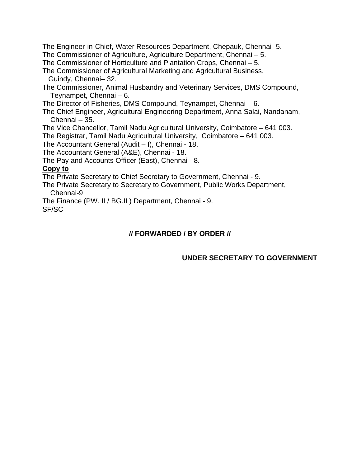The Engineer-in-Chief, Water Resources Department, Chepauk, Chennai- 5.

The Commissioner of Agriculture, Agriculture Department, Chennai – 5.

The Commissioner of Horticulture and Plantation Crops, Chennai – 5.

The Commissioner of Agricultural Marketing and Agricultural Business, Guindy, Chennai– 32.

The Commissioner, Animal Husbandry and Veterinary Services, DMS Compound, Teynampet, Chennai – 6.

The Director of Fisheries, DMS Compound, Teynampet, Chennai – 6.

The Chief Engineer, Agricultural Engineering Department, Anna Salai, Nandanam, Chennai – 35.

The Vice Chancellor, Tamil Nadu Agricultural University, Coimbatore – 641 003.

The Registrar, Tamil Nadu Agricultural University, Coimbatore – 641 003.

The Accountant General (Audit – I), Chennai - 18.

The Accountant General (A&E), Chennai - 18.

The Pay and Accounts Officer (East), Chennai - 8.

## **Copy to**

The Private Secretary to Chief Secretary to Government, Chennai - 9.

The Private Secretary to Secretary to Government, Public Works Department, Chennai-9

The Finance (PW. II / BG.II ) Department, Chennai - 9. SF/SC

# **// FORWARDED / BY ORDER //**

# **UNDER SECRETARY TO GOVERNMENT**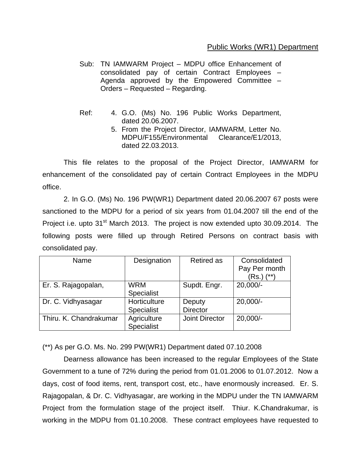## Public Works (WR1) Department

- Sub: TN IAMWARM Project MDPU office Enhancement of consolidated pay of certain Contract Employees – Agenda approved by the Empowered Committee – Orders – Requested – Regarding.
- Ref: 4. G.O. (Ms) No. 196 Public Works Department, dated 20.06.2007.
	- 5. From the Project Director, IAMWARM, Letter No. MDPU/F155/Environmental Clearance/E1/2013, dated 22.03.2013.

 This file relates to the proposal of the Project Director, IAMWARM for enhancement of the consolidated pay of certain Contract Employees in the MDPU office.

 2. In G.O. (Ms) No. 196 PW(WR1) Department dated 20.06.2007 67 posts were sanctioned to the MDPU for a period of six years from 01.04.2007 till the end of the Project i.e. upto 31<sup>st</sup> March 2013. The project is now extended upto 30.09.2014. The following posts were filled up through Retired Persons on contract basis with consolidated pay.

| Name                   | Designation       | <b>Retired as</b>     | Consolidated  |
|------------------------|-------------------|-----------------------|---------------|
|                        |                   |                       | Pay Per month |
|                        |                   |                       | (Rs.) (**)    |
| Er. S. Rajagopalan,    | <b>WRM</b>        | Supdt. Engr.          | $20,000/-$    |
|                        | <b>Specialist</b> |                       |               |
| Dr. C. Vidhyasagar     | Horticulture      | Deputy                | $20,000/-$    |
|                        | <b>Specialist</b> | <b>Director</b>       |               |
| Thiru. K. Chandrakumar | Agriculture       | <b>Joint Director</b> | $20,000/-$    |
|                        | <b>Specialist</b> |                       |               |

(\*\*) As per G.O. Ms. No. 299 PW(WR1) Department dated 07.10.2008

Dearness allowance has been increased to the regular Employees of the State Government to a tune of 72% during the period from 01.01.2006 to 01.07.2012. Now a days, cost of food items, rent, transport cost, etc., have enormously increased. Er. S. Rajagopalan, & Dr. C. Vidhyasagar, are working in the MDPU under the TN IAMWARM Project from the formulation stage of the project itself. Thiur. K.Chandrakumar, is working in the MDPU from 01.10.2008. These contract employees have requested to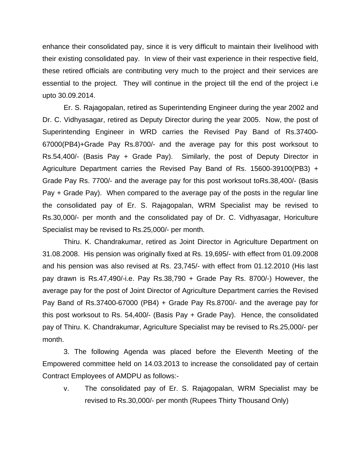enhance their consolidated pay, since it is very difficult to maintain their livelihood with their existing consolidated pay. In view of their vast experience in their respective field, these retired officials are contributing very much to the project and their services are essential to the project. They will continue in the project till the end of the project i.e upto 30.09.2014.

Er. S. Rajagopalan, retired as Superintending Engineer during the year 2002 and Dr. C. Vidhyasagar, retired as Deputy Director during the year 2005. Now, the post of Superintending Engineer in WRD carries the Revised Pay Band of Rs.37400- 67000(PB4)+Grade Pay Rs.8700/- and the average pay for this post worksout to Rs.54,400/- (Basis Pay + Grade Pay). Similarly, the post of Deputy Director in Agriculture Department carries the Revised Pay Band of Rs. 15600-39100(PB3) + Grade Pay Rs. 7700/- and the average pay for this post worksout toRs.38,400/- (Basis Pay + Grade Pay). When compared to the average pay of the posts in the regular line the consolidated pay of Er. S. Rajagopalan, WRM Specialist may be revised to Rs.30,000/- per month and the consolidated pay of Dr. C. Vidhyasagar, Horiculture Specialist may be revised to Rs.25,000/- per month.

Thiru. K. Chandrakumar, retired as Joint Director in Agriculture Department on 31.08.2008. His pension was originally fixed at Rs. 19,695/- with effect from 01.09.2008 and his pension was also revised at Rs. 23,745/- with effect from 01.12.2010 (His last pay drawn is Rs.47,490/-i.e. Pay Rs.38,790 + Grade Pay Rs. 8700/-) However, the average pay for the post of Joint Director of Agriculture Department carries the Revised Pay Band of Rs.37400-67000 (PB4) + Grade Pay Rs.8700/- and the average pay for this post worksout to Rs. 54,400/- (Basis Pay + Grade Pay). Hence, the consolidated pay of Thiru. K. Chandrakumar, Agriculture Specialist may be revised to Rs.25,000/- per month.

 3. The following Agenda was placed before the Eleventh Meeting of the Empowered committee held on 14.03.2013 to increase the consolidated pay of certain Contract Employees of AMDPU as follows:-

v. The consolidated pay of Er. S. Rajagopalan, WRM Specialist may be revised to Rs.30,000/- per month (Rupees Thirty Thousand Only)